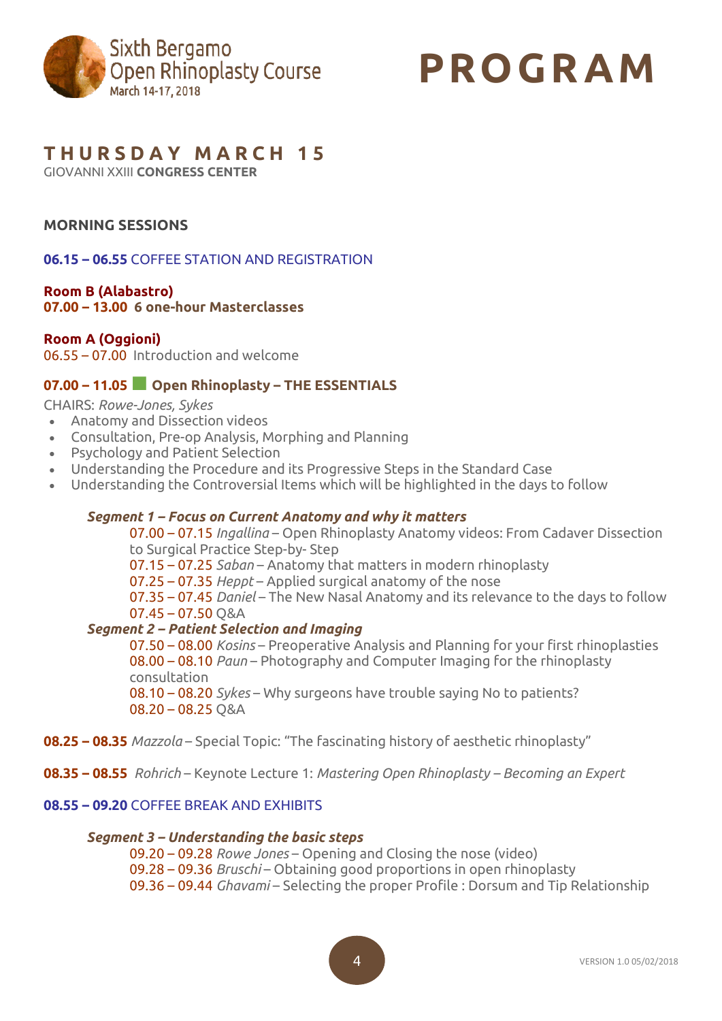

# **PROGR AM**

## **T H U R S D A Y M A R C H 1 5**

GIOVANNI XXIII **CONGRESS CENTER**

## **MORNING SESSIONS**

**06.15 – 06.55** COFFEE STATION AND REGISTRATION

## **Room B (Alabastro)**

**07.00 – 13.00 6 one-hour Masterclasses**

#### **Room A (Oggioni)**

06.55 – 07.00 Introduction and welcome

## **07.00 – 11.05■ Open Rhinoplasty – THE ESSENTIALS**

CHAIRS: *Rowe-Jones, Sykes*

- Anatomy and Dissection videos
- Consultation, Pre-op Analysis, Morphing and Planning
- Psychology and Patient Selection
- Understanding the Procedure and its Progressive Steps in the Standard Case
- Understanding the Controversial Items which will be highlighted in the days to follow

#### *Segment 1 – Focus on Current Anatomy and why it matters*

07.00 – 07.15 *Ingallina* – Open Rhinoplasty Anatomy videos: From Cadaver Dissection to Surgical Practice Step-by- Step

07.15 – 07.25 *Saban* – Anatomy that matters in modern rhinoplasty

07.25 – 07.35 *Heppt* – Applied surgical anatomy of the nose

07.35 – 07.45 *Daniel* – The New Nasal Anatomy and its relevance to the days to follow 07.45 – 07.50 Q&A

#### *Segment 2 – Patient Selection and Imaging*

07.50 – 08.00 *Kosins* – Preoperative Analysis and Planning for your first rhinoplasties 08.00 – 08.10 *Paun* – Photography and Computer Imaging for the rhinoplasty consultation 08.10 – 08.20 *Sykes* – Why surgeons have trouble saying No to patients? 08.20 – 08.25 Q&A

- **08.25 – 08.35** *Mazzola* Special Topic: "The fascinating history of aesthetic rhinoplasty"
- **08.35 – 08.55** *Rohrich* Keynote Lecture 1: *Mastering Open Rhinoplasty – Becoming an Expert*

#### **08.55 – 09.20** COFFEE BREAK AND EXHIBITS

#### *Segment 3 – Understanding the basic steps*

09.20 – 09.28 *Rowe Jones* – Opening and Closing the nose (video) 09.28 – 09.36 *Bruschi* – Obtaining good proportions in open rhinoplasty 09.36 – 09.44 *Ghavami* – Selecting the proper Profile : Dorsum and Tip Relationship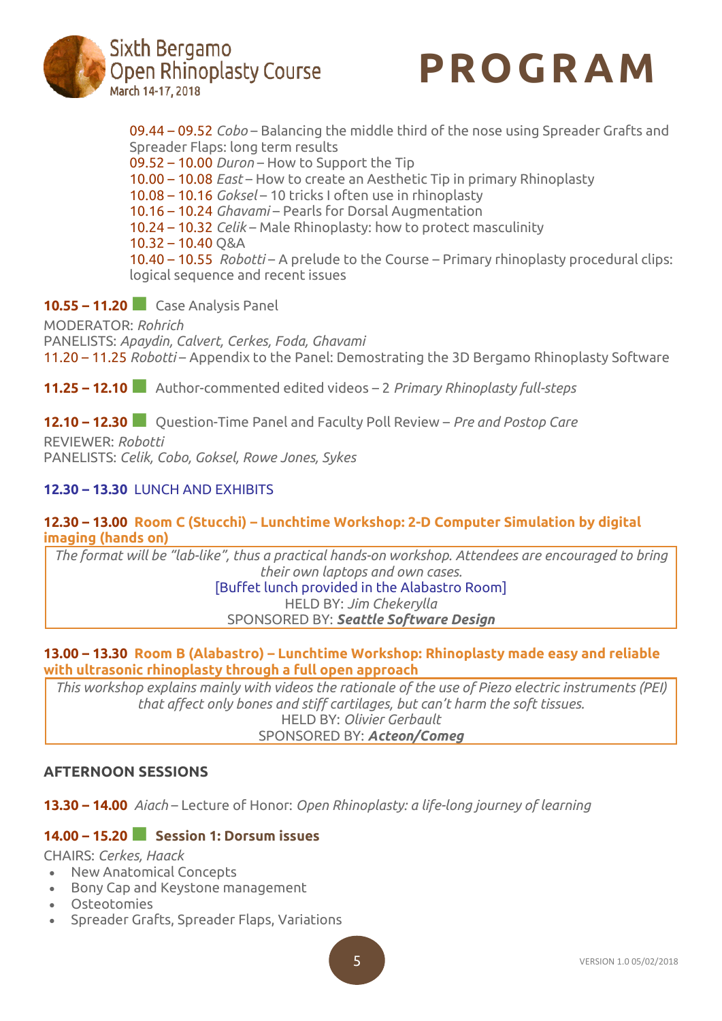



09.44 – 09.52 *Cobo* – Balancing the middle third of the nose using Spreader Grafts and Spreader Flaps: long term results

09.52 – 10.00 *Duron* – How to Support the Tip

10.00 – 10.08 *East* – How to create an Aesthetic Tip in primary Rhinoplasty

10.08 – 10.16 *Goksel* – 10 tricks I often use in rhinoplasty

10.16 – 10.24 *Ghavami* – Pearls for Dorsal Augmentation

10.24 – 10.32 *Celik* – Male Rhinoplasty: how to protect masculinity

10.32 – 10.40 Q&A

10.40 – 10.55 *Robotti* – A prelude to the Course – Primary rhinoplasty procedural clips: logical sequence and recent issues

## **10.55 – 11.20■** Case Analysis Panel

MODERATOR: *Rohrich* PANELISTS: *Apaydin, Calvert, Cerkes, Foda, Ghavami* 11.20 – 11.25 *Robotti* – Appendix to the Panel: Demostrating the 3D Bergamo Rhinoplasty Software

**11.25 – 12.10■** Author-commented edited videos – <sup>2</sup> *Primary Rhinoplasty full-steps*

**12.10 – 12.30■** Question-Time Panel and Faculty Poll Review – *Pre and Postop Care*

REVIEWER: *Robotti* PANELISTS: *Celik, Cobo, Goksel, Rowe Jones, Sykes*

## **12.30 – 13.30** LUNCH AND EXHIBITS

## **12.30 – 13.00 Room C (Stucchi) – Lunchtime Workshop: 2-D Computer Simulation by digital imaging (hands on)**

*The format will be "lab-like", thus a practical hands-on workshop. Attendees are encouraged to bring their own laptops and own cases.*

[Buffet lunch provided in the Alabastro Room] HELD BY: *Jim Chekerylla* SPONSORED BY: *Seattle Software Design*

#### **13.00 – 13.30 Room B (Alabastro) – Lunchtime Workshop: Rhinoplasty made easy and reliable with ultrasonic rhinoplasty through a full open approach**

*This workshop explains mainly with videos the rationale of the use of Piezo electric instruments (PEI) that affect only bones and stiff cartilages, but can't harm the soft tissues.* HELD BY: *Olivier Gerbault* SPONSORED BY: *Acteon/Comeg*

## **AFTERNOON SESSIONS**

**13.30 – 14.00** *Aiach* – Lecture of Honor: *Open Rhinoplasty: a life-long journey of learning*

## **14.00 – 15.20■ Session 1: Dorsum issues**

CHAIRS: *Cerkes, Haack*

- New Anatomical Concepts
- Bony Cap and Keystone management
- Osteotomies
- Spreader Grafts, Spreader Flaps, Variations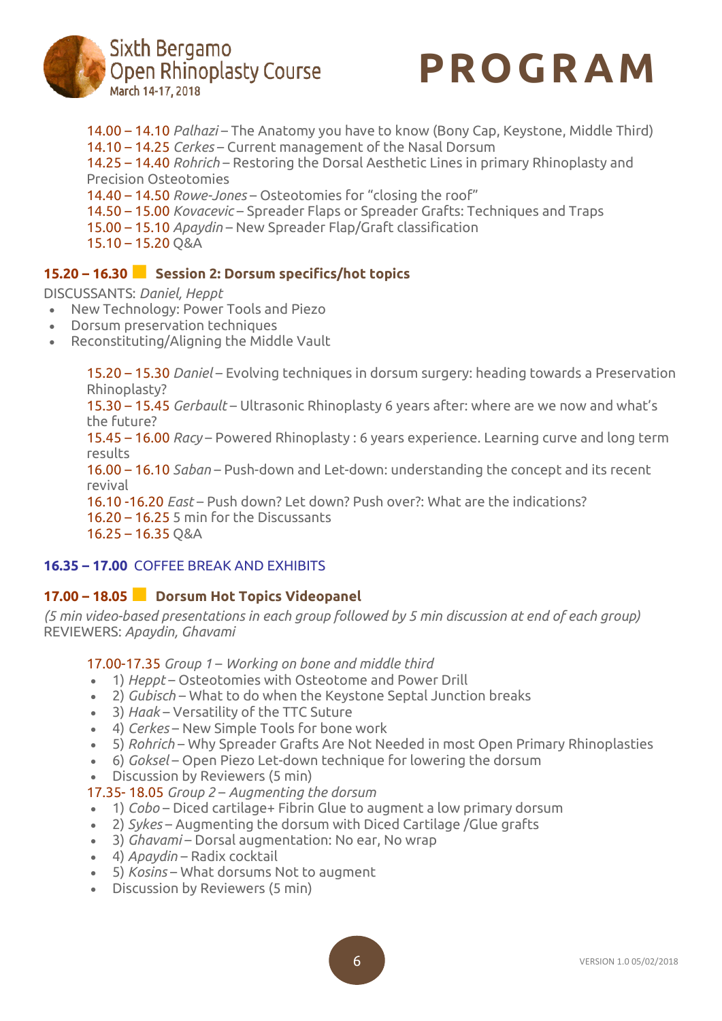



14.00 – 14.10 *Palhazi* – The Anatomy you have to know (Bony Cap, Keystone, Middle Third) 14.10 – 14.25 *Cerkes* – Current management of the Nasal Dorsum 14.25 – 14.40 *Rohrich* – Restoring the Dorsal Aesthetic Lines in primary Rhinoplasty and Precision Osteotomies 14.40 – 14.50 *Rowe-Jones* – Osteotomies for "closing the roof" 14.50 – 15.00 *Kovacevic* – Spreader Flaps or Spreader Grafts: Techniques and Traps 15.00 – 15.10 *Apaydin* – New Spreader Flap/Graft classification 15.10 – 15.20 Q&A

## **15.20 – 16.30■ Session 2: Dorsum specifics/hot topics**

## DISCUSSANTS: *Daniel, Heppt*

- New Technology: Power Tools and Piezo
- Dorsum preservation techniques
- Reconstituting/Aligning the Middle Vault

15.20 – 15.30 *Daniel* – Evolving techniques in dorsum surgery: heading towards a Preservation Rhinoplasty?

15.30 – 15.45 *Gerbault* – Ultrasonic Rhinoplasty 6 years after: where are we now and what's the future?

15.45 – 16.00 *Racy* – Powered Rhinoplasty : 6 years experience. Learning curve and long term results

16.00 – 16.10 *Saban* – Push-down and Let-down: understanding the concept and its recent revival

16.10 -16.20 *East* – Push down? Let down? Push over?: What are the indications? 16.20 – 16.25 5 min for the Discussants 16.25 – 16.35 Q&A

## **16.35 – 17.00** COFFEE BREAK AND EXHIBITS

## **17.00 – 18.05■ Dorsum Hot Topics Videopanel**

*(5 min video-based presentations in each group followed by 5 min discussion at end of each group)* REVIEWERS: *Apaydin, Ghavami*

17.00-17.35 *Group 1* – *Working on bone and middle third*

- 1) *Heppt* Osteotomies with Osteotome and Power Drill
- 2) *Gubisch* What to do when the Keystone Septal Junction breaks
- 3) *Haak* Versatility of the TTC Suture
- 4) *Cerkes* New Simple Tools for bone work
- 5) *Rohrich* Why Spreader Grafts Are Not Needed in most Open Primary Rhinoplasties
- 6) *Goksel* Open Piezo Let-down technique for lowering the dorsum
- Discussion by Reviewers (5 min)

17.35- 18.05 *Group 2* – *Augmenting the dorsum*

- 1) *Cobo* Diced cartilage+ Fibrin Glue to augment a low primary dorsum
- 2) *Sykes* Augmenting the dorsum with Diced Cartilage /Glue grafts
- 3) *Ghavami* Dorsal augmentation: No ear, No wrap
- 4) *Apaydin* Radix cocktail
- 5) *Kosins* What dorsums Not to augment
- Discussion by Reviewers (5 min)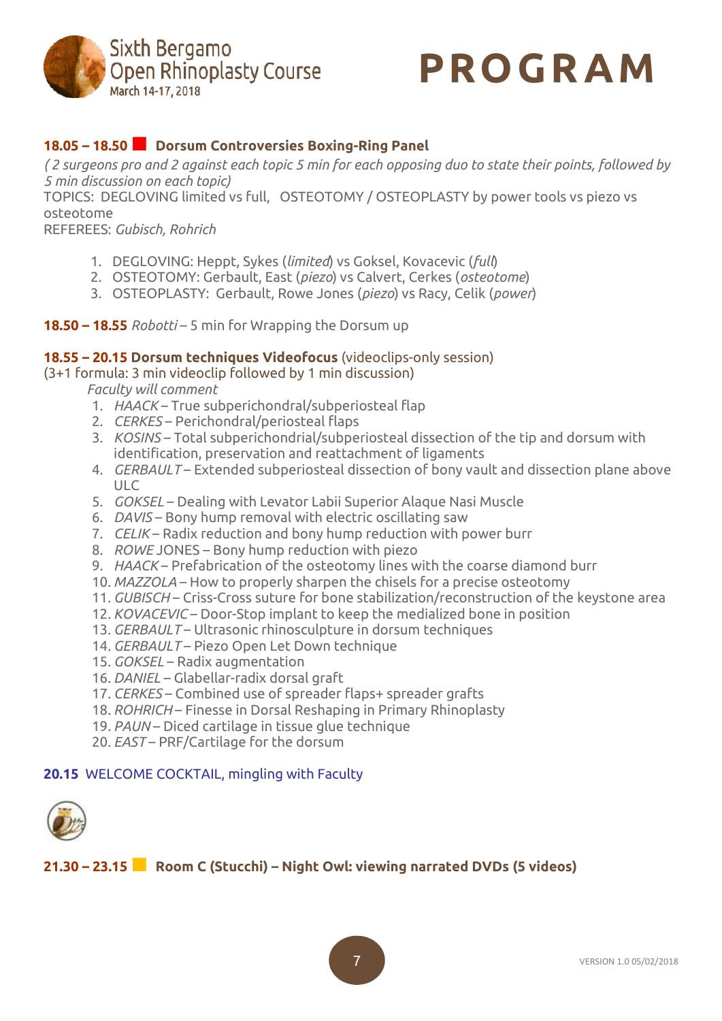



## **18.05 – 18.50■ Dorsum Controversies Boxing-Ring Panel**

(2 surgeons pro and 2 against each topic 5 min for each opposing duo to state their points, followed by *5 min discussion on each topic)*

TOPICS: DEGLOVING limited vs full, OSTEOTOMY / OSTEOPLASTY by power tools vs piezo vs osteotome

REFEREES: *Gubisch, Rohrich*

- 1. DEGLOVING: Heppt, Sykes (*limited*) vs Goksel, Kovacevic (*full*)
- 2. OSTEOTOMY: Gerbault, East (*piezo*) vs Calvert, Cerkes (*osteotome*)
- 3. OSTEOPLASTY: Gerbault, Rowe Jones (*piezo*) vs Racy, Celik (*power*)

#### **18.50 – 18.55** *Robotti* – 5 min for Wrapping the Dorsum up

#### **18.55 – 20.15 Dorsum techniques Videofocus** (videoclips-only session)

#### (3+1 formula: 3 min videoclip followed by 1 min discussion)

*Faculty will comment*

- 1. *HAACK* True subperichondral/subperiosteal flap
- 2. *CERKES* Perichondral/periosteal flaps
- 3. *KOSINS* Total subperichondrial/subperiosteal dissection of the tip and dorsum with identification, preservation and reattachment of ligaments
- 4. *GERBAULT* Extended subperiosteal dissection of bony vault and dissection plane above ULC
- 5. *GOKSEL* Dealing with Levator Labii Superior Alaque Nasi Muscle
- 6. *DAVIS* Bony hump removal with electric oscillating saw
- 7. *CELIK* Radix reduction and bony hump reduction with power burr
- 8. *ROWE* JONES Bony hump reduction with piezo
- 9. *HAACK* Prefabrication of the osteotomy lines with the coarse diamond burr
- 10. *MAZZOLA* How to properly sharpen the chisels for a precise osteotomy
- 11. *GUBISCH* Criss-Cross suture for bone stabilization/reconstruction of the keystone area
- 12. *KOVACEVIC* Door-Stop implant to keep the medialized bone in position
- 13. *GERBAULT* Ultrasonic rhinosculpture in dorsum techniques
- 14. *GERBAULT* Piezo Open Let Down technique
- 15. *GOKSEL* Radix augmentation
- 16. *DANIEL* Glabellar-radix dorsal graft
- 17. *CERKES* Combined use of spreader flaps+ spreader grafts
- 18. *ROHRICH* Finesse in Dorsal Reshaping in Primary Rhinoplasty
- 19. *PAUN* Diced cartilage in tissue glue technique
- 20. *EAST* PRF/Cartilage for the dorsum

#### **20.15** WELCOME COCKTAIL, mingling with Faculty



**21.30 – 23.15■ Room <sup>C</sup> (Stucchi) – Night Owl: viewing narrated DVDs (5 videos)**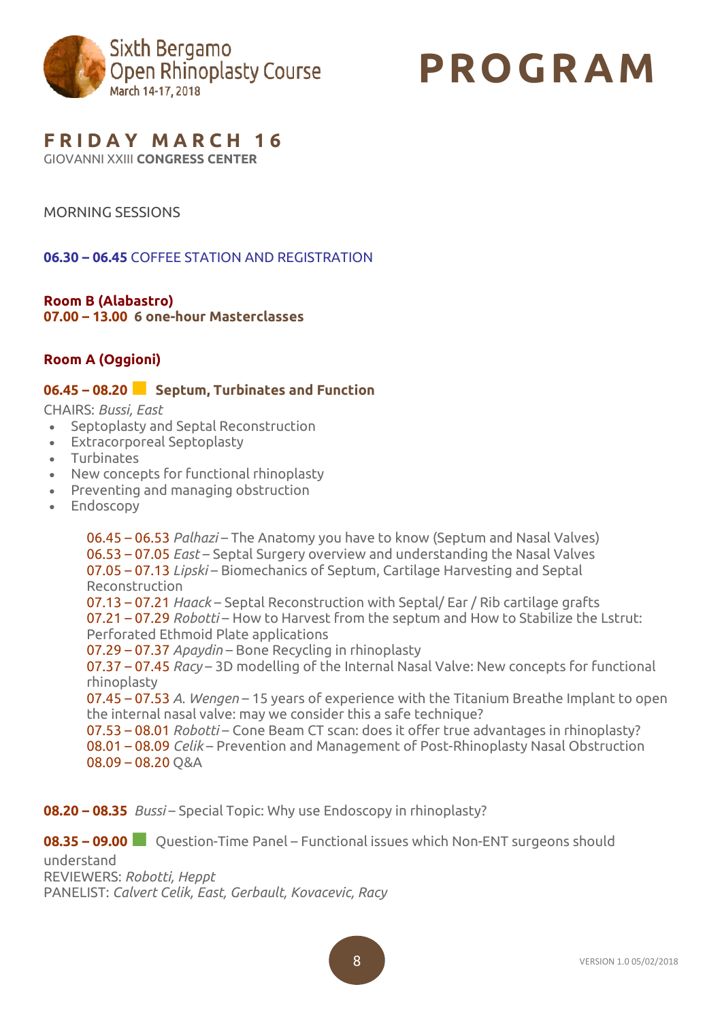

# **PROGR AM**

# **F R I D A Y M A R C H 1 6**

GIOVANNI XXIII **CONGRESS CENTER**

## MORNING SESSIONS

**06.30 – 06.45** COFFEE STATION AND REGISTRATION

## **Room B (Alabastro)**

**07.00 – 13.00 6 one-hour Masterclasses**

## **Room A (Oggioni)**

## **06.45 – 08.20■ Septum, Turbinates and Function**

CHAIRS: *Bussi, East*

- Septoplasty and Septal Reconstruction
- Extracorporeal Septoplasty
- Turbinates
- New concepts for functional rhinoplasty
- Preventing and managing obstruction
- Endoscopy

06.45 – 06.53 *Palhazi* – The Anatomy you have to know (Septum and Nasal Valves) 06.53 – 07.05 *East* – Septal Surgery overview and understanding the Nasal Valves 07.05 – 07.13 *Lipski* – Biomechanics of Septum, Cartilage Harvesting and Septal Reconstruction 07.13 – 07.21 *Haack* – Septal Reconstruction with Septal/ Ear / Rib cartilage grafts 07.21 – 07.29 *Robotti* – How to Harvest from the septum and How to Stabilize the Lstrut: Perforated Ethmoid Plate applications 07.29 – 07.37 *Apaydin* – Bone Recycling in rhinoplasty 07.37 – 07.45 *Racy* – 3D modelling of the Internal Nasal Valve: New concepts for functional rhinoplasty 07.45 – 07.53 *A. Wengen* – 15 years of experience with the Titanium Breathe Implant to open the internal nasal valve: may we consider this a safe technique? 07.53 – 08.01 *Robotti* – Cone Beam CT scan: does it offer true advantages in rhinoplasty? 08.01 – 08.09 *Celik* – Prevention and Management of Post-Rhinoplasty Nasal Obstruction 08.09 – 08.20 Q&A

**08.20 – 08.35** *Bussi* – Special Topic: Why use Endoscopy in rhinoplasty?

**08.35 – 09.00■** Question-Time Panel – Functional issues which Non-ENT surgeons should

understand REVIEWERS: *Robotti, Heppt* PANELIST: *Calvert Celik, East, Gerbault, Kovacevic, Racy*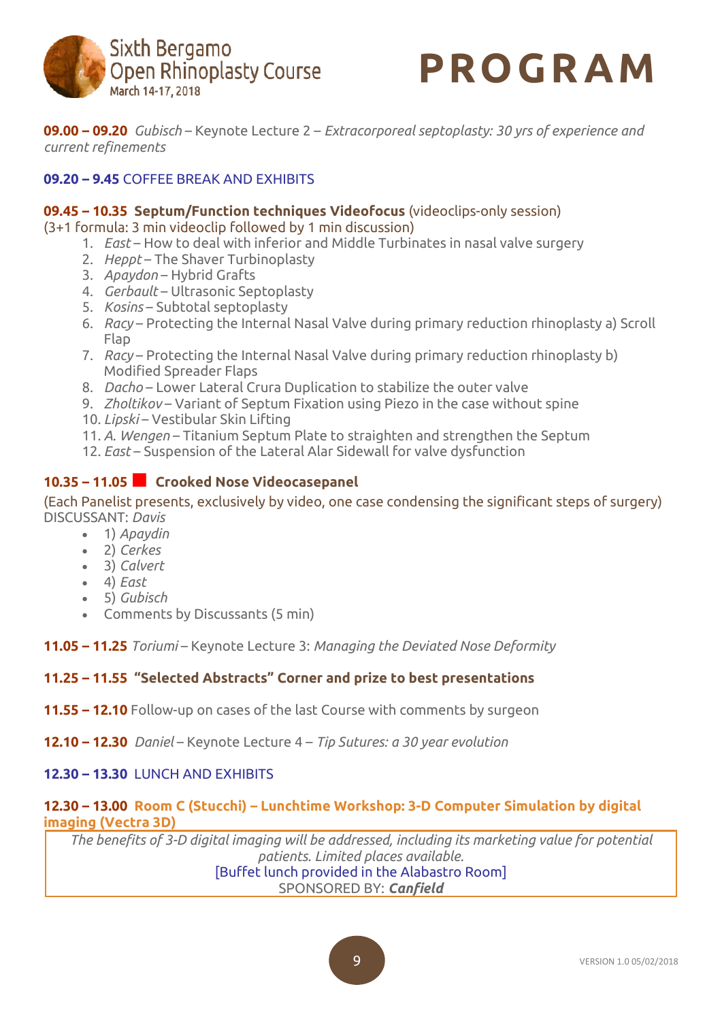



**09.00 – 09.20** *Gubisch* – Keynote Lecture 2 – *Extracorporeal septoplasty: 30 yrs of experience and current refinements*

## **09.20 – 9.45** COFFEE BREAK AND EXHIBITS

#### **09.45 – 10.35 Septum/Function techniques Videofocus** (videoclips-only session)

(3+1 formula: 3 min videoclip followed by 1 min discussion)

- 1. *East* How to deal with inferior and Middle Turbinates in nasal valve surgery
- 2. *Heppt* The Shaver Turbinoplasty
- 3. *Apaydon* Hybrid Grafts
- 4. *Gerbault* Ultrasonic Septoplasty
- 5. *Kosins* Subtotal septoplasty
- 6. *Racy* Protecting the Internal Nasal Valve during primary reduction rhinoplasty a) Scroll Flap
- 7. *Racy* Protecting the Internal Nasal Valve during primary reduction rhinoplasty b) Modified Spreader Flaps
- 8. *Dacho* Lower Lateral Crura Duplication to stabilize the outer valve
- 9. *Zholtikov* Variant of Septum Fixation using Piezo in the case without spine
- 10. *Lipski* Vestibular Skin Lifting
- 11. *A. Wengen* Titanium Septum Plate to straighten and strengthen the Septum
- 12. *East* Suspension of the Lateral Alar Sidewall for valve dysfunction

## **10.35 – 11.05■ Crooked Nose Videocasepanel**

#### (Each Panelist presents, exclusively by video, one case condensing the significant steps of surgery) DISCUSSANT: *Davis*

- 1) *Apaydin*
- 2) *Cerkes*
- 3) *Calvert*
- 4) *East*
- 5) *Gubisch*
- Comments by Discussants (5 min)
- **11.05 – 11.25** *Toriumi* Keynote Lecture 3: *Managing the Deviated Nose Deformity*

#### **11.25 – 11.55 "Selected Abstracts" Corner and prize to best presentations**

- **11.55 – 12.10** Follow-up on cases of the last Course with comments by surgeon
- **12.10 – 12.30** *Daniel* Keynote Lecture 4 *Tip Sutures: a 30 year evolution*

#### **12.30 – 13.30** LUNCH AND EXHIBITS

#### **12.30 – 13.00 Room C (Stucchi) – Lunchtime Workshop: 3-D Computer Simulation by digital imaging (Vectra 3D)**

*The benefits of 3-D digital imaging will be addressed, including its marketing value for potential patients. Limited places available.* [Buffet lunch provided in the Alabastro Room] SPONSORED BY: *Canfield*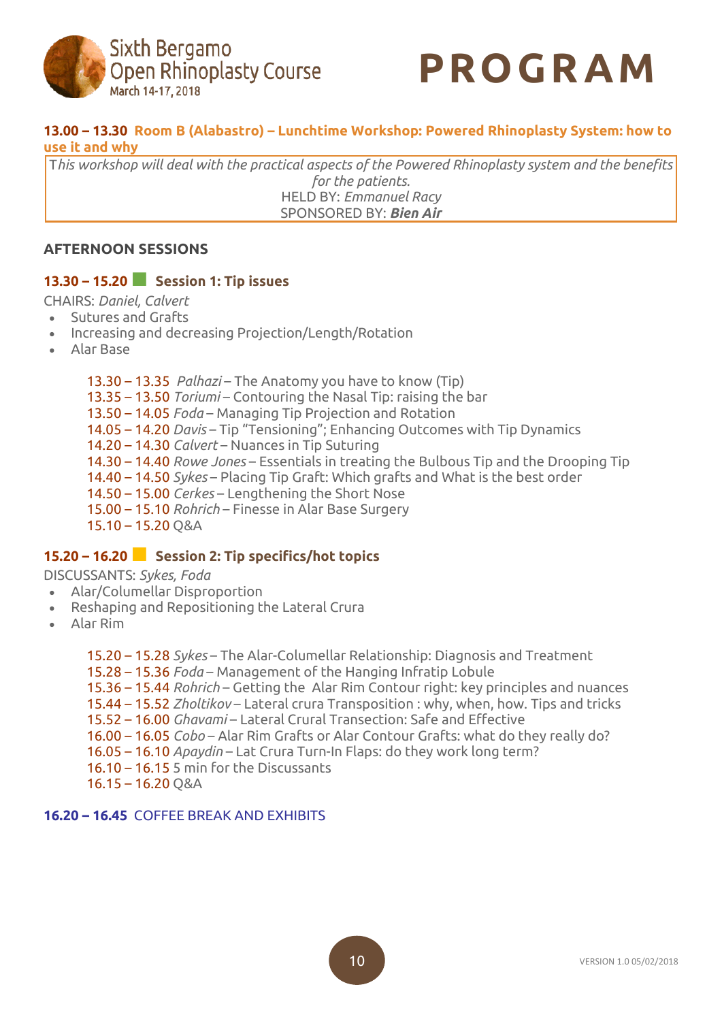



## **13.00 – 13.30 Room B (Alabastro) – Lunchtime Workshop: Powered Rhinoplasty System: how to use it and why**

T*his workshop will deal with the practical aspects of the Powered Rhinoplasty system and the benefits for the patients.* HELD BY: *Emmanuel Racy* SPONSORED BY: *Bien Air*

## **AFTERNOON SESSIONS**

#### **13.30 – 15.20■ Session 1: Tip issues**

CHAIRS: *Daniel, Calvert*

- Sutures and Grafts
- Increasing and decreasing Projection/Length/Rotation
- Alar Base

13.30 – 13.35 *Palhazi* – The Anatomy you have to know (Tip) 13.35 – 13.50 *Toriumi* – Contouring the Nasal Tip: raising the bar 13.50 – 14.05 *Foda* – Managing Tip Projection and Rotation 14.05 – 14.20 *Davis* – Tip "Tensioning"; Enhancing Outcomes with Tip Dynamics 14.20 – 14.30 *Calvert* – Nuances in Tip Suturing 14.30 – 14.40 *Rowe Jones* – Essentials in treating the Bulbous Tip and the Drooping Tip 14.40 – 14.50 *Sykes* – Placing Tip Graft: Which grafts and What is the best order 14.50 – 15.00 *Cerkes* – Lengthening the Short Nose 15.00 – 15.10 *Rohrich* – Finesse in Alar Base Surgery 15.10 – 15.20 Q&A

## **15.20 – 16.20■ Session 2: Tip specifics/hot topics**

#### DISCUSSANTS: *Sykes, Foda*

- Alar/Columellar Disproportion
- Reshaping and Repositioning the Lateral Crura
- Alar Rim

15.20 – 15.28 *Sykes* – The Alar-Columellar Relationship: Diagnosis and Treatment

15.28 – 15.36 *Foda* – Management of the Hanging Infratip Lobule

15.36 – 15.44 *Rohrich* – Getting the Alar Rim Contour right: key principles and nuances

15.44 – 15.52 *Zholtikov* – Lateral crura Transposition : why, when, how. Tips and tricks

15.52 – 16.00 *Ghavami* – Lateral Crural Transection: Safe and Effective

- 16.00 16.05 *Cobo* Alar Rim Grafts or Alar Contour Grafts: what do they really do?
- 16.05 16.10 *Apaydin* Lat Crura Turn-In Flaps: do they work long term?
- 16.10 16.15 5 min for the Discussants
- 16.15 16.20 Q&A

#### **16.20 – 16.45** COFFEE BREAK AND EXHIBITS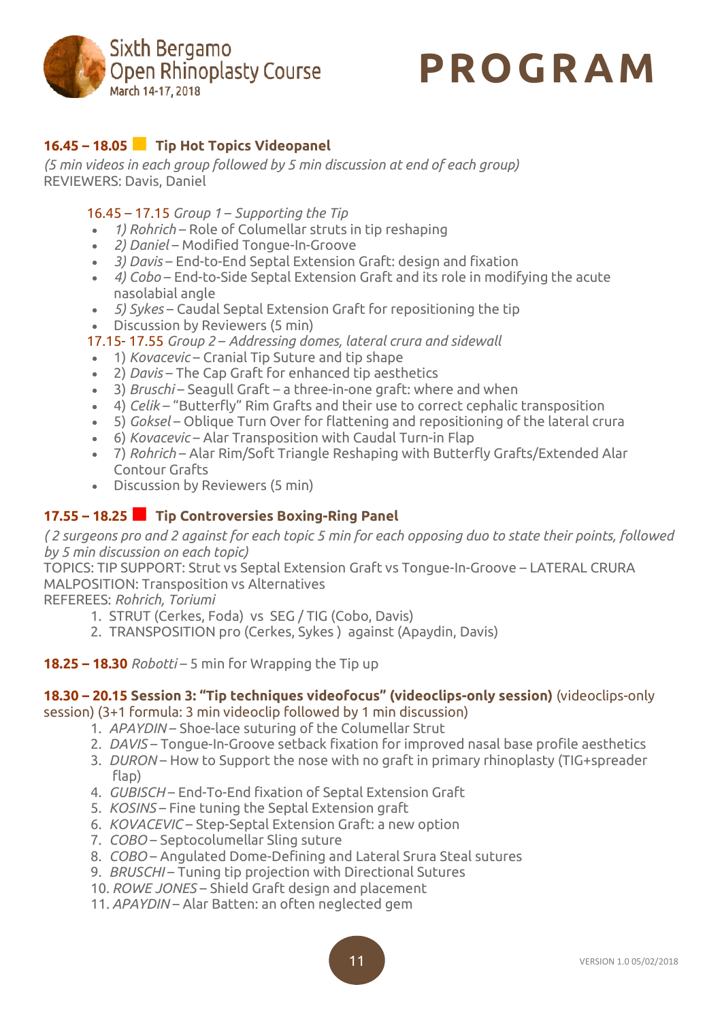



## **16.45 – 18.05■ Tip Hot Topics Videopanel**

*(5 min videos in each group followed by 5 min discussion at end of each group)* REVIEWERS: Davis, Daniel

- 16.45 17.15 *Group 1 Supporting the Tip*
- *1) Rohrich* Role of Columellar struts in tip reshaping
- *2) Daniel* Modified Tongue-In-Groove
- *3) Davis* End-to-End Septal Extension Graft: design and fixation
- *4) Cobo* End-to-Side Septal Extension Graft and its role in modifying the acute nasolabial angle
- *5) Sykes* Caudal Septal Extension Graft for repositioning the tip
- Discussion by Reviewers (5 min)
- 17.15- 17.55 *Group 2 Addressing domes, lateral crura and sidewall*
- 1) *Kovacevic* Cranial Tip Suture and tip shape
- 2) *Davis* The Cap Graft for enhanced tip aesthetics
- 3) *Bruschi* Seagull Graft a three-in-one graft: where and when
- 4) *Celik* "Butterfly" Rim Grafts and their use to correct cephalic transposition
- 5) *Goksel* Oblique Turn Over for flattening and repositioning of the lateral crura
- 6) *Kovacevic* Alar Transposition with Caudal Turn-in Flap
- 7) *Rohrich* Alar Rim/Soft Triangle Reshaping with Butterfly Grafts/Extended Alar Contour Grafts
- Discussion by Reviewers (5 min)

## **17.55 – 18.25■ Tip Controversies Boxing-Ring Panel**

(2 surgeons pro and 2 against for each topic 5 min for each opposing duo to state their points, followed *by 5 min discussion on each topic)*

TOPICS: TIP SUPPORT: Strut vs Septal Extension Graft vs Tongue-In-Groove – LATERAL CRURA MALPOSITION: Transposition vs Alternatives

REFEREES: *Rohrich, Toriumi*

- 1. STRUT (Cerkes, Foda) vs SEG / TIG (Cobo, Davis)
- 2. TRANSPOSITION pro (Cerkes, Sykes ) against (Apaydin, Davis)
- **18.25 – 18.30** *Robotti* 5 min for Wrapping the Tip up

## **18.30 – 20.15 Session 3: "Tip techniques videofocus" (videoclips-only session)** (videoclips-only

session) (3+1 formula: 3 min videoclip followed by 1 min discussion)

- 1. *APAYDIN* Shoe-lace suturing of the Columellar Strut
- 2. *DAVIS* Tongue-In-Groove setback fixation for improved nasal base profile aesthetics
- 3. *DURON* How to Support the nose with no graft in primary rhinoplasty (TIG+spreader flap)
- 4. *GUBISCH* End-To-End fixation of Septal Extension Graft
- 5. *KOSINS* Fine tuning the Septal Extension graft
- 6. *KOVACEVIC* Step-Septal Extension Graft: a new option
- 7. *COBO* Septocolumellar Sling suture
- 8. *COBO* Angulated Dome-Defining and Lateral Srura Steal sutures
- 9. *BRUSCHI* Tuning tip projection with Directional Sutures
- 10. *ROWE JONES* Shield Graft design and placement
- 11. *APAYDIN* Alar Batten: an often neglected gem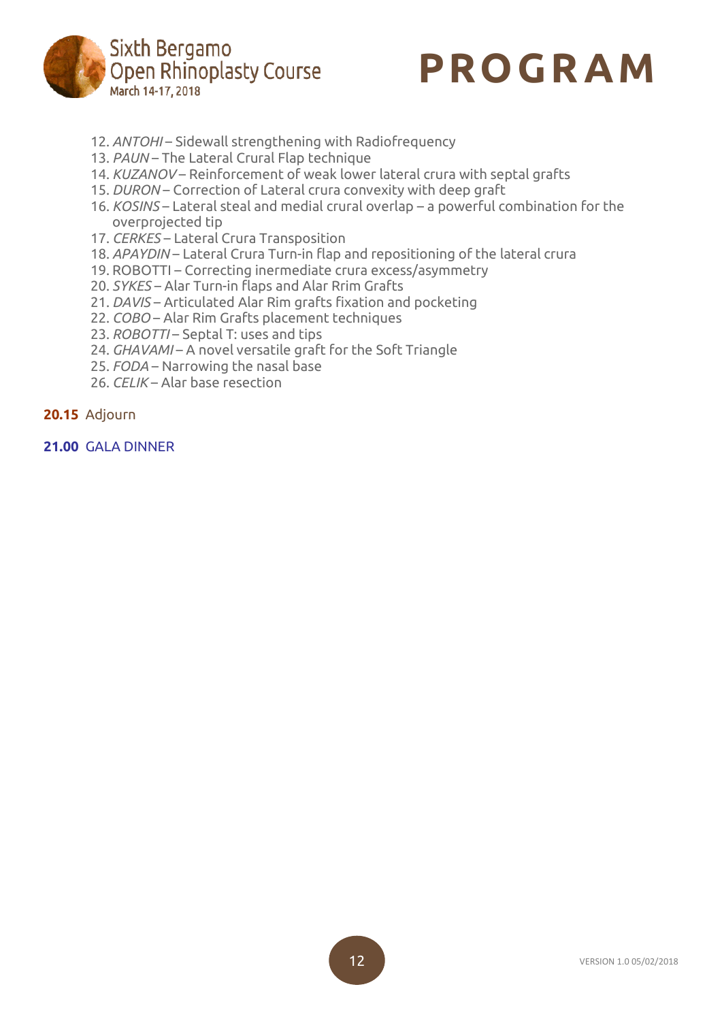



- 12. *ANTOHI* Sidewall strengthening with Radiofrequency
- 13. *PAUN* The Lateral Crural Flap technique
- 14. *KUZANOV* Reinforcement of weak lower lateral crura with septal grafts
- 15. *DURON* Correction of Lateral crura convexity with deep graft
- 16. *KOSINS* Lateral steal and medial crural overlap a powerful combination for the overprojected tip
- 17. *CERKES* Lateral Crura Transposition
- 18. *APAYDIN* Lateral Crura Turn-in flap and repositioning of the lateral crura
- 19. ROBOTTI Correcting inermediate crura excess/asymmetry
- 20. *SYKES* Alar Turn-in flaps and Alar Rrim Grafts
- 21. *DAVIS* Articulated Alar Rim grafts fixation and pocketing
- 22. *COBO* Alar Rim Grafts placement techniques
- 23. *ROBOTTI* Septal T: uses and tips
- 24. *GHAVAMI* A novel versatile graft for the Soft Triangle
- 25. *FODA* Narrowing the nasal base
- 26. *CELIK* Alar base resection

#### **20.15** Adjourn

#### **21.00** GALA DINNER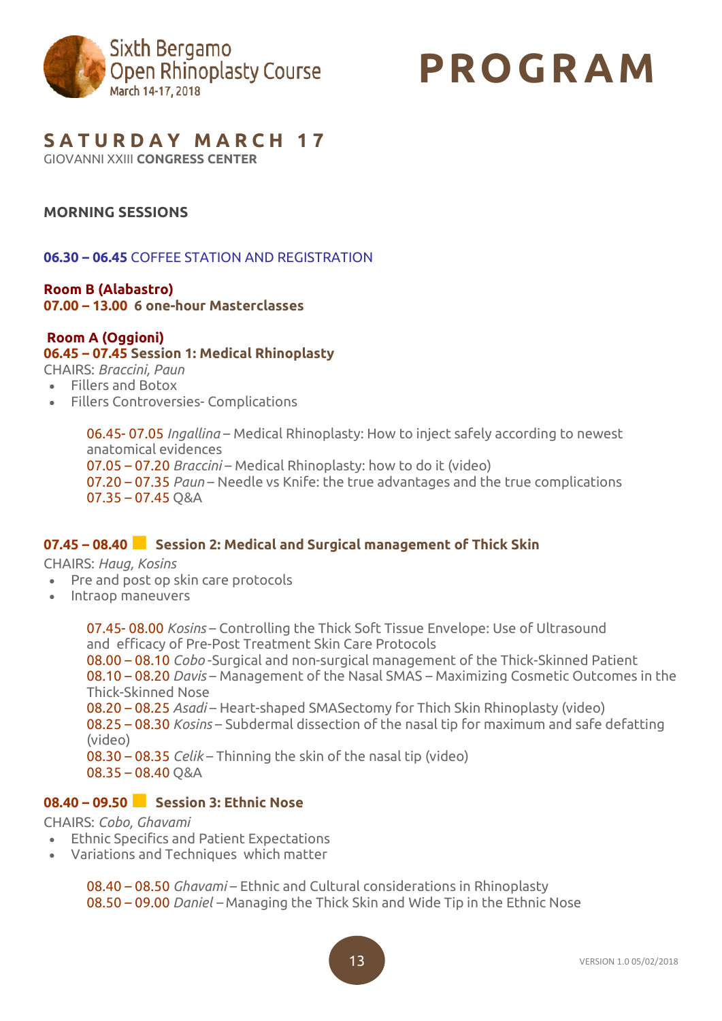

# **PROGR AM**

## **S A T U R D A Y M A R C H 1 7**

GIOVANNI XXIII **CONGRESS CENTER**

## **MORNING SESSIONS**

## **06.30 – 06.45** COFFEE STATION AND REGISTRATION

**Room B (Alabastro) 07.00 – 13.00 6 one-hour Masterclasses**

## **Room A (Oggioni)**

#### **06.45 – 07.45 Session 1: Medical Rhinoplasty**

CHAIRS: *Braccini, Paun*

- Fillers and Botox
- Fillers Controversies- Complications

06.45- 07.05 *Ingallina* – Medical Rhinoplasty: How to inject safely according to newest anatomical evidences

07.05 – 07.20 *Braccini* – Medical Rhinoplasty: how to do it (video)

07.20 – 07.35 *Paun* – Needle vs Knife: the true advantages and the true complications 07.35 – 07.45 Q&A

## **07.45 – 08.40■ Session 2: Medical and Surgical management of Thick Skin**

CHAIRS: *Haug, Kosins*

- Pre and post op skin care protocols
- Intraop maneuvers

07.45- 08.00 *Kosins* – Controlling the Thick Soft Tissue Envelope: Use of Ultrasound and efficacy of Pre-Post Treatment Skin Care Protocols 08.00 – 08.10 *Cobo* -Surgical and non-surgical management of the Thick-Skinned Patient 08.10 – 08.20 *Davis* – Management of the Nasal SMAS – Maximizing Cosmetic Outcomes in the Thick-Skinned Nose 08.20 – 08.25 *Asadi* – Heart-shaped SMASectomy for Thich Skin Rhinoplasty (video) 08.25 – 08.30 *Kosins* – Subdermal dissection of the nasal tip for maximum and safe defatting (video) 08.30 – 08.35 *Celik* – Thinning the skin of the nasal tip (video)  $08.35 - 08.40$  O&A

## **08.40 – 09.50■ Session 3: Ethnic Nose**

#### CHAIRS: *Cobo, Ghavami*

- Ethnic Specifics and Patient Expectations
- Variations and Techniques which matter

08.40 – 08.50 *Ghavami* – Ethnic and Cultural considerations in Rhinoplasty 08.50 – 09.00 *Daniel –* Managing the Thick Skin and Wide Tip in the Ethnic Nose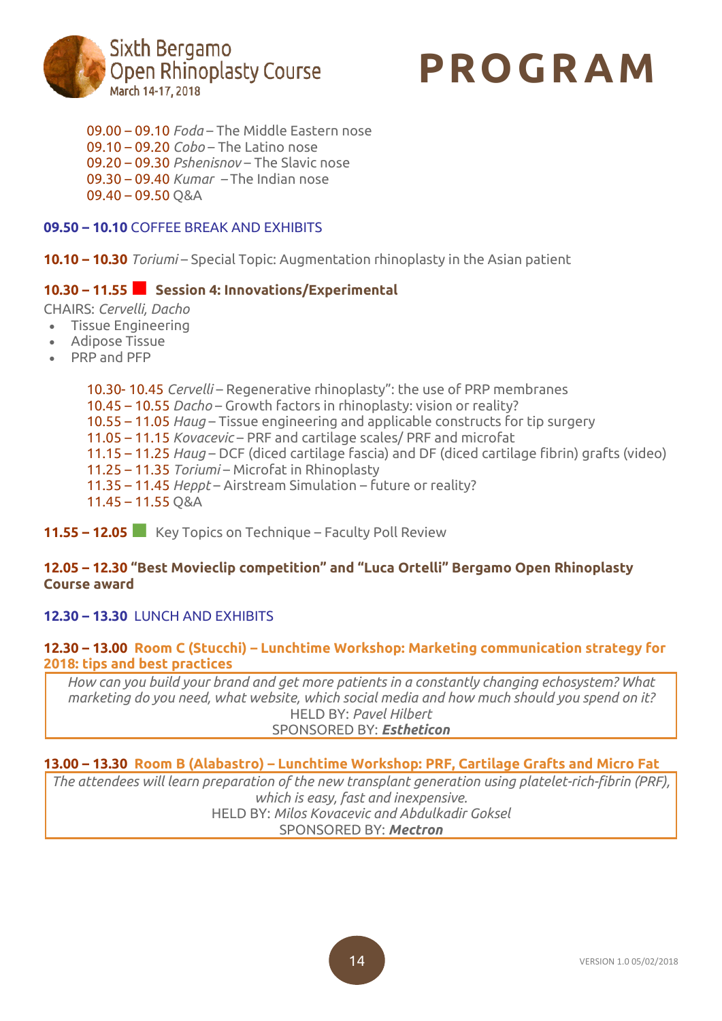



09.00 – 09.10 *Foda* – The Middle Eastern nose 09.10 – 09.20 *Cobo* – The Latino nose 09.20 – 09.30 *Pshenisnov* – The Slavic nose 09.30 – 09.40 *Kumar –* The Indian nose 09.40 – 09.50 Q&A

## **09.50 – 10.10** COFFEE BREAK AND EXHIBITS

**10.10 – 10.30** *Toriumi* – Special Topic: Augmentation rhinoplasty in the Asian patient

## **10.30 – 11.55■ Session 4: Innovations/Experimental**

CHAIRS: *Cervelli, Dacho*

- Tissue Engineering
- Adipose Tissue
- PRP and PFP

10.30- 10.45 *Cervelli* – Regenerative rhinoplasty": the use of PRP membranes 10.45 – 10.55 *Dacho* – Growth factors in rhinoplasty: vision or reality? 10.55 – 11.05 *Haug* – Tissue engineering and applicable constructs for tip surgery 11.05 – 11.15 *Kovacevic* – PRF and cartilage scales/ PRF and microfat 11.15 – 11.25 *Haug* – DCF (diced cartilage fascia) and DF (diced cartilage fibrin) grafts (video) 11.25 – 11.35 *Toriumi* – Microfat in Rhinoplasty 11.35 – 11.45 *Heppt* – Airstream Simulation – future or reality? 11.45 – 11.55 Q&A

**11.55 – 12.05■** Key Topics on Technique – Faculty Poll Review

## **12.05 – 12.30 "Best Movieclip competition" and "Luca Ortelli" Bergamo Open Rhinoplasty Course award**

#### **12.30 – 13.30** LUNCH AND EXHIBITS

#### **12.30 – 13.00 Room C (Stucchi) – Lunchtime Workshop: Marketing communication strategy for 2018: tips and best practices**

*How can you build your brand and get more patients in a constantly changing echosystem? What marketing do you need, what website, which social media and how much should you spend on it?* HELD BY: *Pavel Hilbert* SPONSORED BY: *Estheticon*

## **13.00 – 13.30 Room B (Alabastro) – Lunchtime Workshop: PRF, Cartilage Grafts and Micro Fat**

*The attendees will learn preparation of the new transplant generation using platelet-rich-fibrin (PRF), which is easy, fast and inexpensive.* HELD BY: *Milos Kovacevic and Abdulkadir Goksel* SPONSORED BY: *Mectron*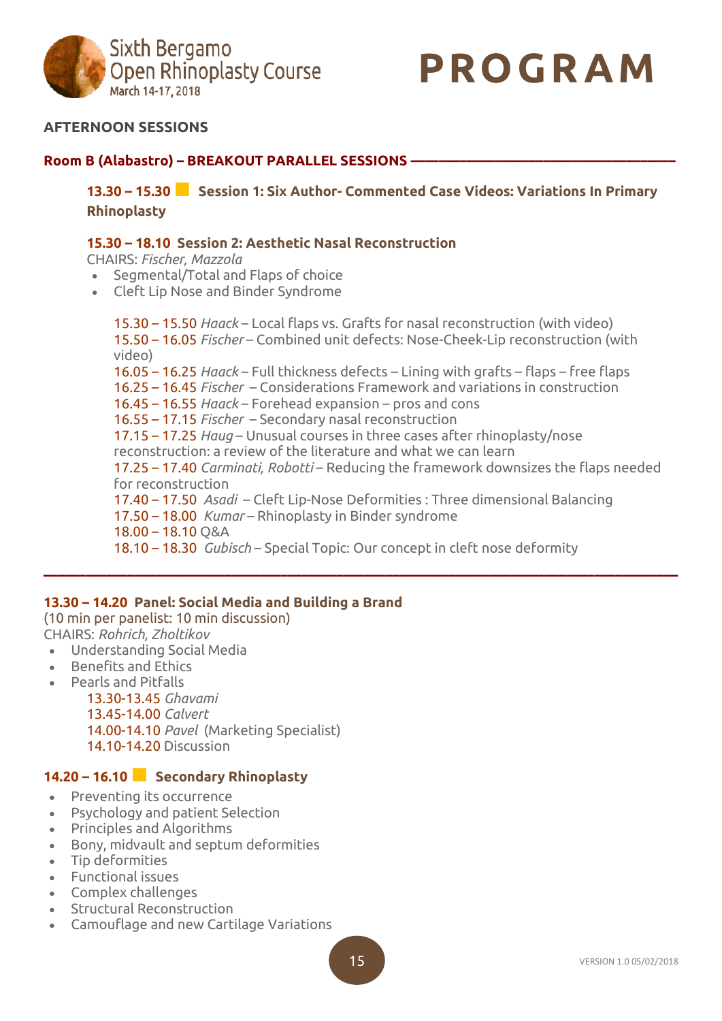



## **AFTERNOON SESSIONS**

## **Room B (Alabastro) – BREAKOUT PARALLEL SESSIONS ––––––––––––––––––––––––––––––––––––––**

**13.30 – 15.30■ Session 1: Six Author- Commented Case Videos: Variations In Primary Rhinoplasty**

#### **15.30 – 18.10 Session 2: Aesthetic Nasal Reconstruction**

CHAIRS: *Fischer, Mazzola*

- Segmental/Total and Flaps of choice
- Cleft Lip Nose and Binder Syndrome

15.30 – 15.50 *Haack* – Local flaps vs. Grafts for nasal reconstruction (with video) 15.50 – 16.05 *Fischer* – Combined unit defects: Nose-Cheek-Lip reconstruction (with video) 16.05 – 16.25 *Haack* – Full thickness defects – Lining with grafts – flaps – free flaps 16.25 – 16.45 *Fischer* – Considerations Framework and variations in construction 16.45 – 16.55 *Haack* – Forehead expansion – pros and cons 16.55 – 17.15 *Fischer* – Secondary nasal reconstruction 17.15 – 17.25 *Haug* – Unusual courses in three cases after rhinoplasty/nose reconstruction: a review of the literature and what we can learn 17.25 – 17.40 *Carminati, Robotti* – Reducing the framework downsizes the flaps needed for reconstruction 17.40 – 17.50 *Asadi* – Cleft Lip-Nose Deformities : Three dimensional Balancing 17.50 – 18.00 *Kumar* – Rhinoplasty in Binder syndrome 18.00 – 18.10 Q&A 18.10 – 18.30 *Gubisch* – Special Topic: Our concept in cleft nose deformity

**–––––––––––––––––––––––––––––––––––––––––––––––––––––––––––––––––––––––––––––––––––––––––––**

## **13.30 – 14.20 Panel: Social Media and Building a Brand**

(10 min per panelist: 10 min discussion) CHAIRS: *Rohrich, Zholtikov*

- Understanding Social Media
- Benefits and Ethics
- Pearls and Pitfalls

13.30-13.45 *Ghavami* 13.45-14.00 *Calvert* 14.00-14.10 *Pavel* (Marketing Specialist) 14.10-14.20 Discussion

## **14.20 – 16.10■ Secondary Rhinoplasty**

- Preventing its occurrence
- Psychology and patient Selection
- Principles and Algorithms
- Bony, midvault and septum deformities
- Tip deformities
- Functional issues
- Complex challenges
- Structural Reconstruction
- Camouflage and new Cartilage Variations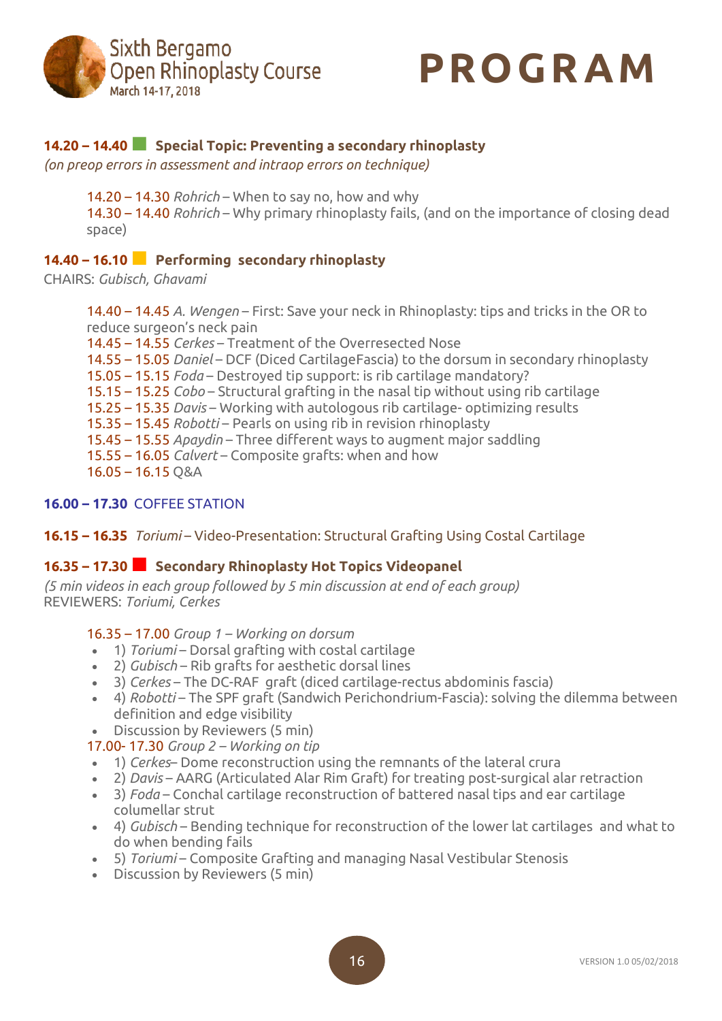



## **14.20 – 14.40■ Special Topic: Preventing <sup>a</sup> secondary rhinoplasty**

*(on preop errors in assessment and intraop errors on technique)*

14.20 – 14.30 *Rohrich* – When to say no, how and why 14.30 – 14.40 *Rohrich* – Why primary rhinoplasty fails, (and on the importance of closing dead space)

## **14.40 – 16.10■ Performing secondary rhinoplasty**

CHAIRS: *Gubisch, Ghavami*

14.40 – 14.45 *A. Wengen* – First: Save your neck in Rhinoplasty: tips and tricks in the OR to reduce surgeon's neck pain 14.45 – 14.55 *Cerkes* – Treatment of the Overresected Nose

14.55 – 15.05 *Daniel* – DCF (Diced CartilageFascia) to the dorsum in secondary rhinoplasty

15.05 – 15.15 *Foda* – Destroyed tip support: is rib cartilage mandatory?

15.15 – 15.25 *Cobo* – Structural grafting in the nasal tip without using rib cartilage

15.25 – 15.35 *Davis* – Working with autologous rib cartilage- optimizing results

15.35 – 15.45 *Robotti* – Pearls on using rib in revision rhinoplasty

15.45 – 15.55 *Apaydin* – Three different ways to augment major saddling

15.55 – 16.05 *Calvert* – Composite grafts: when and how

16.05 – 16.15 Q&A

#### **16.00 – 17.30** COFFEE STATION

## **16.15 – 16.35** *Toriumi* – Video-Presentation: Structural Grafting Using Costal Cartilage

## **16.35 – 17.30■ Secondary Rhinoplasty Hot Topics Videopanel**

*(5 min videos in each group followed by 5 min discussion at end of each group)* REVIEWERS: *Toriumi, Cerkes*

## 16.35 – 17.00 *Group 1 – Working on dorsum*

- 1) *Toriumi* Dorsal grafting with costal cartilage
- 2) *Gubisch* Rib grafts for aesthetic dorsal lines
- 3) *Cerkes* The DC-RAF graft (diced cartilage-rectus abdominis fascia)
- 4) *Robotti* The SPF graft (Sandwich Perichondrium-Fascia): solving the dilemma between definition and edge visibility
- Discussion by Reviewers (5 min)

17.00- 17.30 *Group 2 – Working on tip*

- 1) *Cerkes* Dome reconstruction using the remnants of the lateral crura
- 2) *Davis* AARG (Articulated Alar Rim Graft) for treating post-surgical alar retraction
- 3) *Foda* Conchal cartilage reconstruction of battered nasal tips and ear cartilage columellar strut
- 4) *Gubisch* Bending technique for reconstruction of the lower lat cartilages and what to do when bending fails
- 5) *Toriumi* Composite Grafting and managing Nasal Vestibular Stenosis
- Discussion by Reviewers (5 min)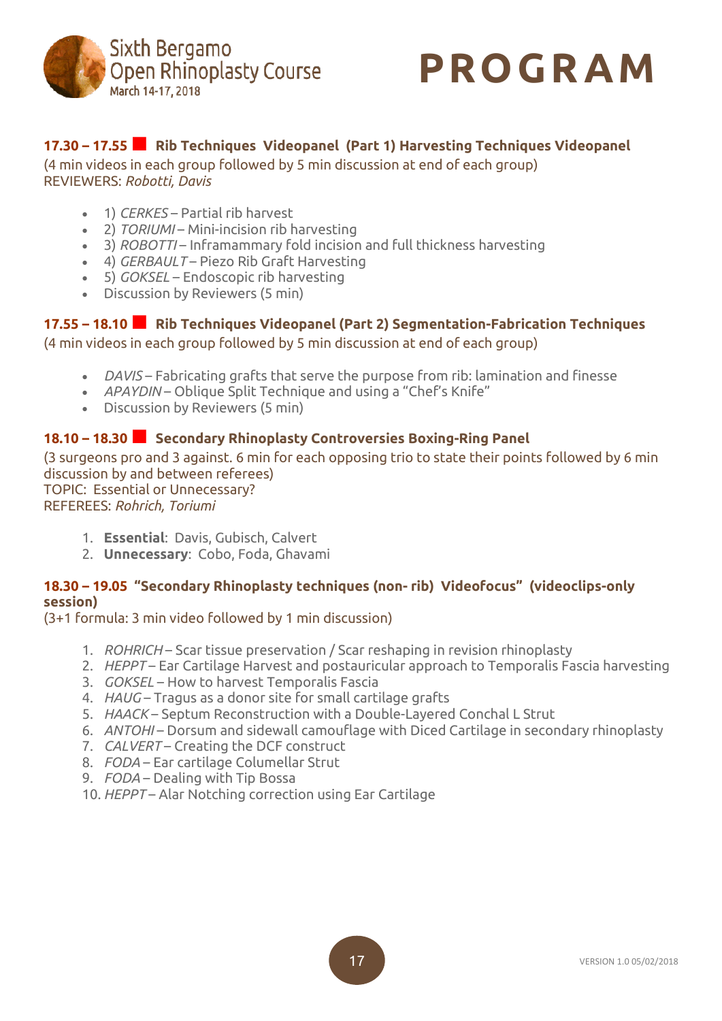



## **17.30 – 17.55■ Rib Techniques Videopanel (Part 1) Harvesting Techniques Videopanel**

(4 min videos in each group followed by 5 min discussion at end of each group) REVIEWERS: *Robotti, Davis*

- 1) *CERKES* Partial rib harvest
- 2) *TORIUMI* Mini-incision rib harvesting
- 3) *ROBOTTI* Inframammary fold incision and full thickness harvesting
- 4) *GERBAULT* Piezo Rib Graft Harvesting
- 5) *GOKSEL* Endoscopic rib harvesting
- Discussion by Reviewers (5 min)

# **17.55 – 18.10■ Rib Techniques Videopanel (Part 2) Segmentation-Fabrication Techniques**

(4 min videos in each group followed by 5 min discussion at end of each group)

- *DAVIS* Fabricating grafts that serve the purpose from rib: lamination and finesse
- *APAYDIN* Oblique Split Technique and using a "Chef's Knife"
- Discussion by Reviewers (5 min)

## **18.10 – 18.30■ Secondary Rhinoplasty Controversies Boxing-Ring Panel**

(3 surgeons pro and 3 against. 6 min for each opposing trio to state their points followed by 6 min discussion by and between referees) TOPIC: Essential or Unnecessary?

REFEREES: *Rohrich, Toriumi*

- 1. **Essential**: Davis, Gubisch, Calvert
- 2. **Unnecessary**: Cobo, Foda, Ghavami

## **18.30 – 19.05 "Secondary Rhinoplasty techniques (non- rib) Videofocus" (videoclips-only session)**

(3+1 formula: 3 min video followed by 1 min discussion)

- 1. *ROHRICH* Scar tissue preservation / Scar reshaping in revision rhinoplasty
- 2. *HEPPT* Ear Cartilage Harvest and postauricular approach to Temporalis Fascia harvesting
- 3. *GOKSEL* How to harvest Temporalis Fascia
- 4. *HAUG* Tragus as a donor site for small cartilage grafts
- 5. *HAACK* Septum Reconstruction with a Double-Layered Conchal L Strut
- 6. *ANTOHI* Dorsum and sidewall camouflage with Diced Cartilage in secondary rhinoplasty
- 7. *CALVERT* Creating the DCF construct
- 8. *FODA* Ear cartilage Columellar Strut
- 9. *FODA* Dealing with Tip Bossa
- 10. *HEPPT* Alar Notching correction using Ear Cartilage